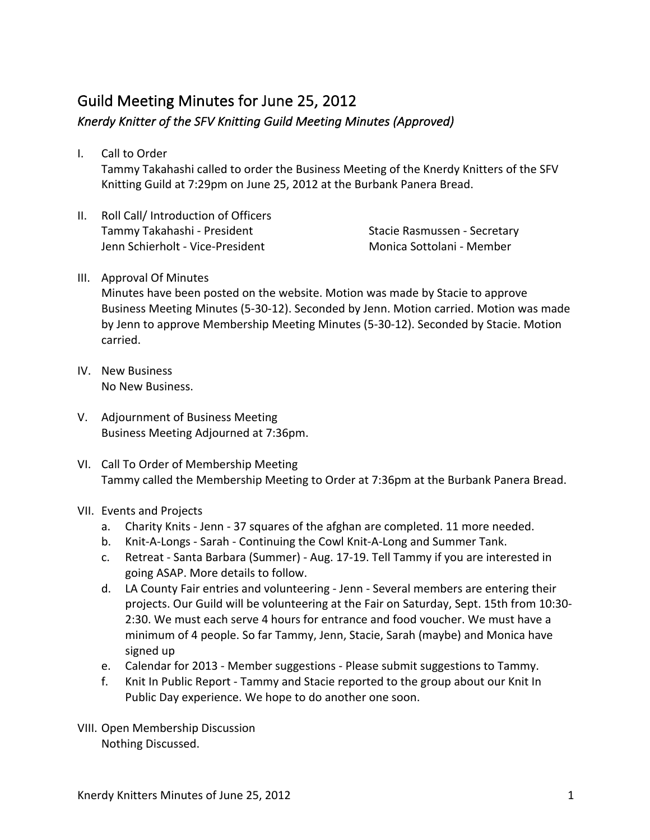## Guild Meeting Minutes for June 25, 2012 Knerdy Knitter of the SFV Knitting Guild Meeting Minutes (Approved)

- I. Call to Order Tammy Takahashi called to order the Business Meeting of the Knerdy Knitters of the SFV Knitting Guild at 7:29pm on June 25, 2012 at the Burbank Panera Bread.
- II. Roll Call/ Introduction of Officers Tammy Takahashi - President Jenn Schierholt - Vice-President

Stacie Rasmussen - Secretary Monica Sottolani - Member

## III. Approval Of Minutes

Minutes have been posted on the website. Motion was made by Stacie to approve Business Meeting Minutes (5-30-12). Seconded by Jenn. Motion carried. Motion was made by Jenn to approve Membership Meeting Minutes (5-30-12). Seconded by Stacie. Motion carried.

- IV. New Business No New Business.
- V. Adjournment of Business Meeting Business Meeting Adjourned at 7:36pm.
- VI. Call To Order of Membership Meeting Tammy called the Membership Meeting to Order at 7:36pm at the Burbank Panera Bread.
- VII. Events and Projects
	- a. Charity Knits Jenn 37 squares of the afghan are completed. 11 more needed.
	- b. Knit-A-Longs Sarah Continuing the Cowl Knit-A-Long and Summer Tank.
	- c. Retreat Santa Barbara (Summer) Aug. 17-19. Tell Tammy if you are interested in going ASAP. More details to follow.
	- d. LA County Fair entries and volunteering Jenn Several members are entering their projects. Our Guild will be volunteering at the Fair on Saturday, Sept. 15th from 10:30-2:30. We must each serve 4 hours for entrance and food voucher. We must have a minimum of 4 people. So far Tammy, Jenn, Stacie, Sarah (maybe) and Monica have signed up
	- e. Calendar for 2013 Member suggestions Please submit suggestions to Tammy.
	- f. Knit In Public Report Tammy and Stacie reported to the group about our Knit In Public Day experience. We hope to do another one soon.
- VIII. Open Membership Discussion Nothing Discussed.